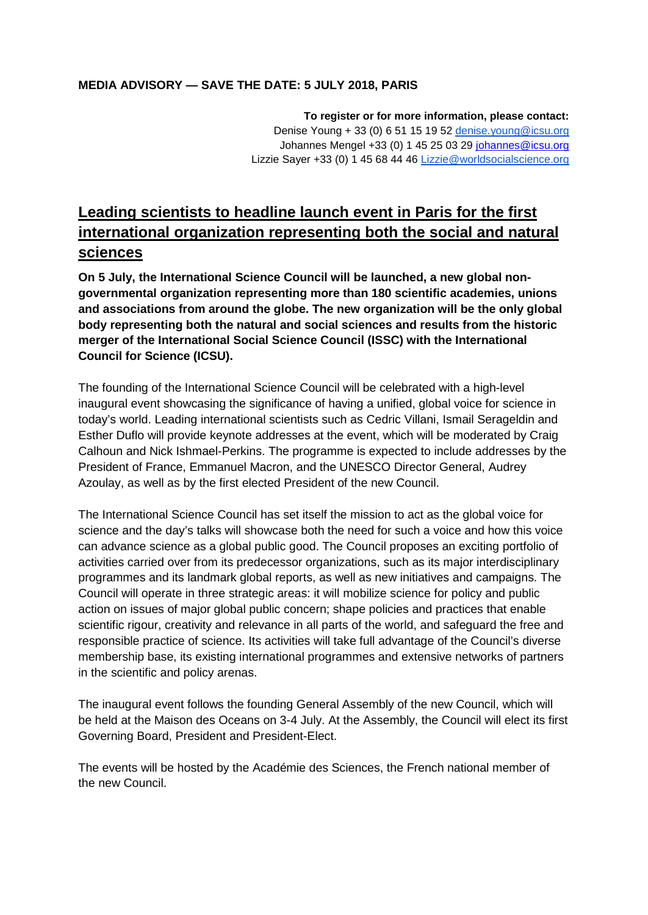#### **MEDIA ADVISORY — SAVE THE DATE: 5 JULY 2018, PARIS**

**To register or for more information, please contact:**  Denise Young + 33 (0) 6 51 15 19 52 [denise.young@icsu.org](mailto:denise.young@icsu.org) Johannes Mengel +33 (0) 1 45 25 03 29 [johannes@icsu.org](mailto:johannes@icsu.org) Lizzie Sayer +33 (0) 1 45 68 44 46 [Lizzie@worldsocialscience.org](mailto:Lizzie.Sayer@issc.org)

# **Leading scientists to headline launch event in Paris for the first international organization representing both the social and natural sciences**

**On 5 July, the International Science Council will be launched, a new global nongovernmental organization representing more than 180 scientific academies, unions and associations from around the globe. The new organization will be the only global body representing both the natural and social sciences and results from the historic merger of the International Social Science Council (ISSC) with the International Council for Science (ICSU).** 

The founding of the International Science Council will be celebrated with a high-level inaugural event showcasing the significance of having a unified, global voice for science in today's world. Leading international scientists such as Cedric Villani, Ismail Serageldin and Esther Duflo will provide keynote addresses at the event, which will be moderated by Craig Calhoun and Nick Ishmael-Perkins. The programme is expected to include addresses by the President of France, Emmanuel Macron, and the UNESCO Director General, Audrey Azoulay, as well as by the first elected President of the new Council.

The International Science Council has set itself the mission to act as the global voice for science and the day's talks will showcase both the need for such a voice and how this voice can advance science as a global public good. The Council proposes an exciting portfolio of activities carried over from its predecessor organizations, such as its major interdisciplinary programmes and its landmark global reports, as well as new initiatives and campaigns. The Council will operate in three strategic areas: it will mobilize science for policy and public action on issues of major global public concern; shape policies and practices that enable scientific rigour, creativity and relevance in all parts of the world, and safeguard the free and responsible practice of science. Its activities will take full advantage of the Council's diverse membership base, its existing international programmes and extensive networks of partners in the scientific and policy arenas.

The inaugural event follows the founding General Assembly of the new Council, which will be held at the Maison des Oceans on 3-4 July. At the Assembly, the Council will elect its first Governing Board, President and President-Elect.

The events will be hosted by the Académie des Sciences, the French national member of the new Council.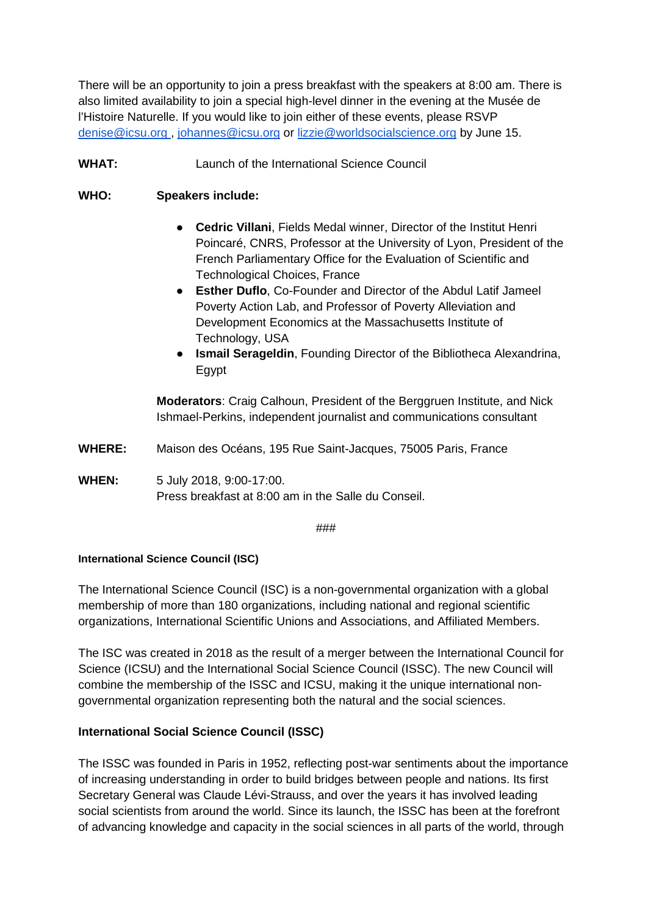There will be an opportunity to join a press breakfast with the speakers at 8:00 am. There is also limited availability to join a special high-level dinner in the evening at the Musée de l'Histoire Naturelle. If you would like to join either of these events, please RSVP [denise@icsu.org](mailto:denise@icsu.org) , [johannes@icsu.org](mailto:johannes@icsu.org) or [lizzie@worldsocialscience.org](mailto:lizzie@worldsocialscience.org) by June 15.

## **WHAT:** Launch of the International Science Council

## **WHO: Speakers include:**

- **Cedric Villani**, Fields Medal winner, Director of the Institut Henri Poincaré, CNRS, Professor at the University of Lyon, President of the French Parliamentary Office for the Evaluation of Scientific and Technological Choices, France
- **Esther Duflo**, Co-Founder and Director of the Abdul Latif Jameel Poverty Action Lab, and Professor of Poverty Alleviation and Development Economics at the Massachusetts Institute of Technology, USA
- **Ismail Serageldin**, Founding Director of the Bibliotheca Alexandrina, Egypt

**Moderators**: Craig Calhoun, President of the Berggruen Institute, and Nick Ishmael-Perkins, independent journalist and communications consultant

- **WHERE:** Maison des Océans, 195 Rue Saint-Jacques, 75005 Paris, France
- **WHEN:** 5 July 2018, 9:00-17:00. Press breakfast at 8:00 am in the Salle du Conseil.

###

#### **International Science Council (ISC)**

The International Science Council (ISC) is a non-governmental organization with a global membership of more than 180 organizations, including national and regional scientific organizations, International Scientific Unions and Associations, and Affiliated Members.

The ISC was created in 2018 as the result of a merger between the International Council for Science (ICSU) and the International Social Science Council (ISSC). The new Council will combine the membership of the ISSC and ICSU, making it the unique international nongovernmental organization representing both the natural and the social sciences.

#### **International Social Science Council (ISSC)**

The ISSC was founded in Paris in 1952, reflecting post-war sentiments about the importance of increasing understanding in order to build bridges between people and nations. Its first Secretary General was Claude Lévi-Strauss, and over the years it has involved leading social scientists from around the world. Since its launch, the ISSC has been at the forefront of advancing knowledge and capacity in the social sciences in all parts of the world, through